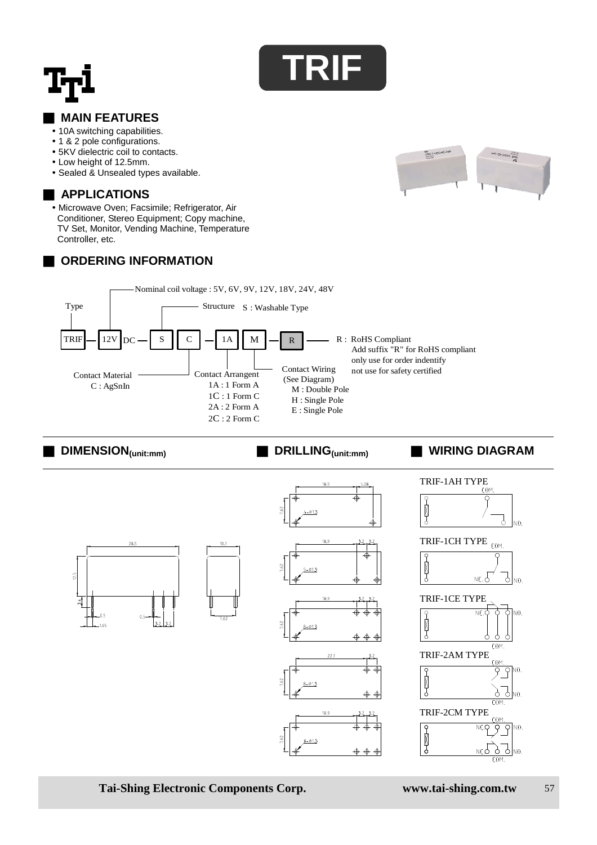

## **MAIN FEATURES**

- 10A switching capabilities.
- 1 & 2 pole configurations.
- 5KV dielectric coil to contacts.
- Low height of 12.5mm.
- Sealed & Unsealed types available.

### ■ **APPLICATIONS**



### **ORDERING INFORMATION**





■ **DIMENSION(unit:mm)** ■ **DRILLING(unit:mm)** ■ **WIRING DIAGRAM**



**Tai-Shing Electronic Components Corp. www.tai-shing.com.tw** 57